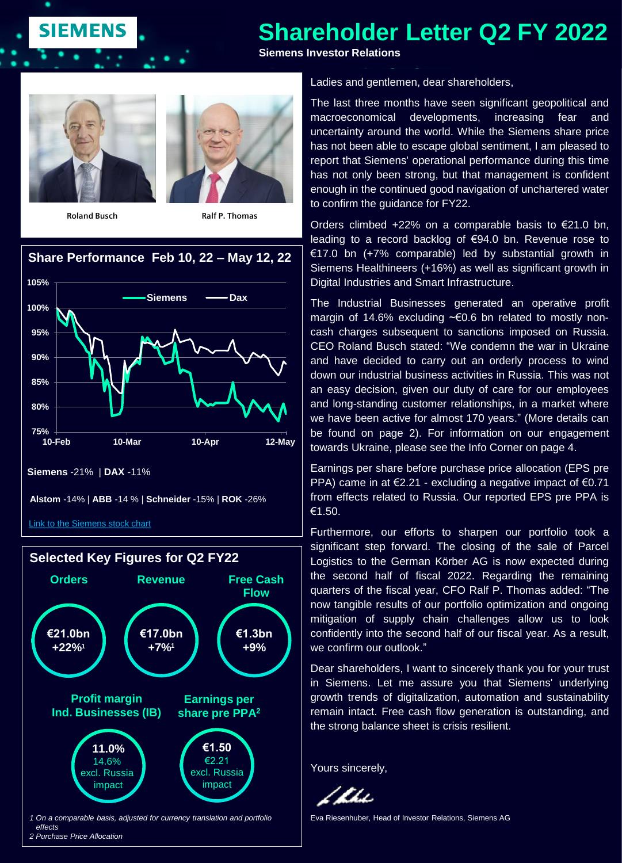# **Shareholder Letter Q2 FY 2022**

**Siemens Investor Relations**



**SIEMENS** 



## **Share Performance Feb 10, 22 – May 12, 22 105%**



[Link to the Siemens stock chart](https://www.siemens.com/investor/en/siemens_share.htm)



Ladies and gentlemen, dear shareholders,

The last three months have seen significant geopolitical and macroeconomical developments, increasing fear and uncertainty around the world. While the Siemens share price has not been able to escape global sentiment, I am pleased to report that Siemens' operational performance during this time has not only been strong, but that management is confident enough in the continued good navigation of unchartered water to confirm the guidance for FY22.

Orders climbed  $+22\%$  on a comparable basis to  $\epsilon$ 21.0 bn. leading to a record backlog of €94.0 bn. Revenue rose to €17.0 bn (+7% comparable) led by substantial growth in Siemens Healthineers (+16%) as well as significant growth in Digital Industries and Smart Infrastructure.

The Industrial Businesses generated an operative profit margin of 14.6% excluding ~€0.6 bn related to mostly noncash charges subsequent to sanctions imposed on Russia. CEO Roland Busch stated: "We condemn the war in Ukraine and have decided to carry out an orderly process to wind down our industrial business activities in Russia. This was not an easy decision, given our duty of care for our employees and long-standing customer relationships, in a market where we have been active for almost 170 years." (More details can be found on page 2). For information on our engagement towards Ukraine, please see the Info Corner on page 4.

Earnings per share before purchase price allocation (EPS pre PPA) came in at €2.21 - excluding a negative impact of €0.71 from effects related to Russia. Our reported EPS pre PPA is €1.50.

Furthermore, our efforts to sharpen our portfolio took a significant step forward. The closing of the sale of Parcel Logistics to the German Körber AG is now expected during the second half of fiscal 2022. Regarding the remaining quarters of the fiscal year, CFO Ralf P. Thomas added: "The now tangible results of our portfolio optimization and ongoing mitigation of supply chain challenges allow us to look confidently into the second half of our fiscal year. As a result, we confirm our outlook."

Dear shareholders, I want to sincerely thank you for your trust in Siemens. Let me assure you that Siemens' underlying growth trends of digitalization, automation and sustainability remain intact. Free cash flow generation is outstanding, and the strong balance sheet is crisis resilient.

Yours sincerely,

/Ku

Eva Riesenhuber, Head of Investor Relations, Siemens AG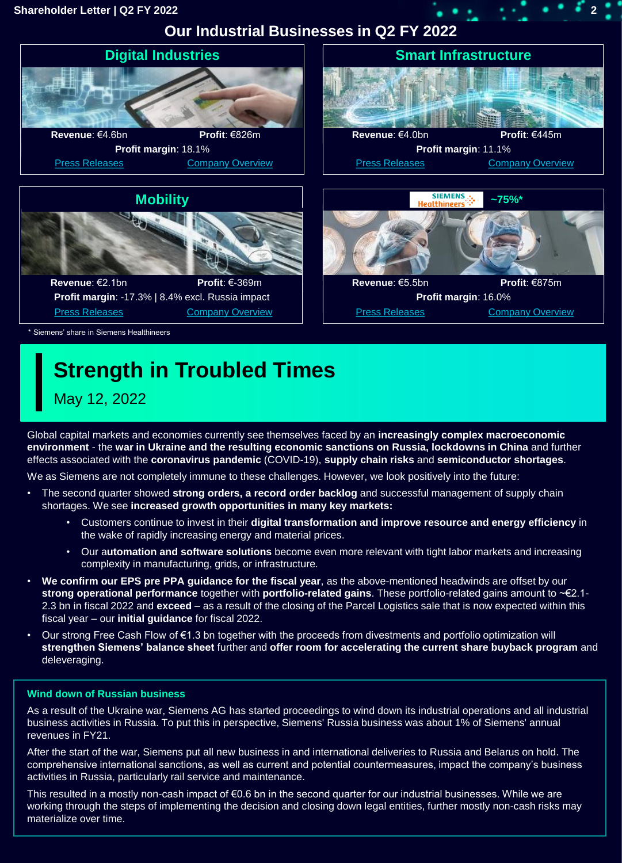### **Shareholder Letter | Q2 FY 2022 2**

**Our Industrial Businesses in Q2 FY 2022**



# **Strength in Troubled Times**

May 12, 2022

Global capital markets and economies currently see themselves faced by an **increasingly complex macroeconomic environment** - the **war in Ukraine and the resulting economic sanctions on Russia, lockdowns in China** and further effects associated with the **coronavirus pandemic** (COVID-19), **supply chain risks** and **semiconductor shortages**.

We as Siemens are not completely immune to these challenges. However, we look positively into the future:

- The second quarter showed **strong orders, a record order backlog** and successful management of supply chain shortages. We see **increased growth opportunities in many key markets:**
	- Customers continue to invest in their **digital transformation and improve resource and energy efficiency** in the wake of rapidly increasing energy and material prices.
	- Our a**utomation and software solutions** become even more relevant with tight labor markets and increasing complexity in manufacturing, grids, or infrastructure.
- **We confirm our EPS pre PPA guidance for the fiscal year**, as the above-mentioned headwinds are offset by our **strong operational performance** together with **portfolio-related gains**. These portfolio-related gains amount to ~€2.1- 2.3 bn in fiscal 2022 and **exceed** – as a result of the closing of the Parcel Logistics sale that is now expected within this fiscal year – our **initial guidance** for fiscal 2022.
- Our strong Free Cash Flow of €1.3 bn together with the proceeds from divestments and portfolio optimization will **strengthen Siemens' balance sheet** further and **offer room for accelerating the current share buyback program** and deleveraging.

### **Wind down of Russian business**

As a result of the Ukraine war, Siemens AG has started proceedings to wind down its industrial operations and all industrial business activities in Russia. To put this in perspective, Siemens' Russia business was about 1% of Siemens' annual revenues in FY21.

After the start of the war, Siemens put all new business in and international deliveries to Russia and Belarus on hold. The comprehensive international sanctions, as well as current and potential countermeasures, impact the company's business activities in Russia, particularly rail service and maintenance.

This resulted in a mostly non-cash impact of €0.6 bn in the second quarter for our industrial businesses. While we are working through the steps of implementing the decision and closing down legal entities, further mostly non-cash risks may materialize over time.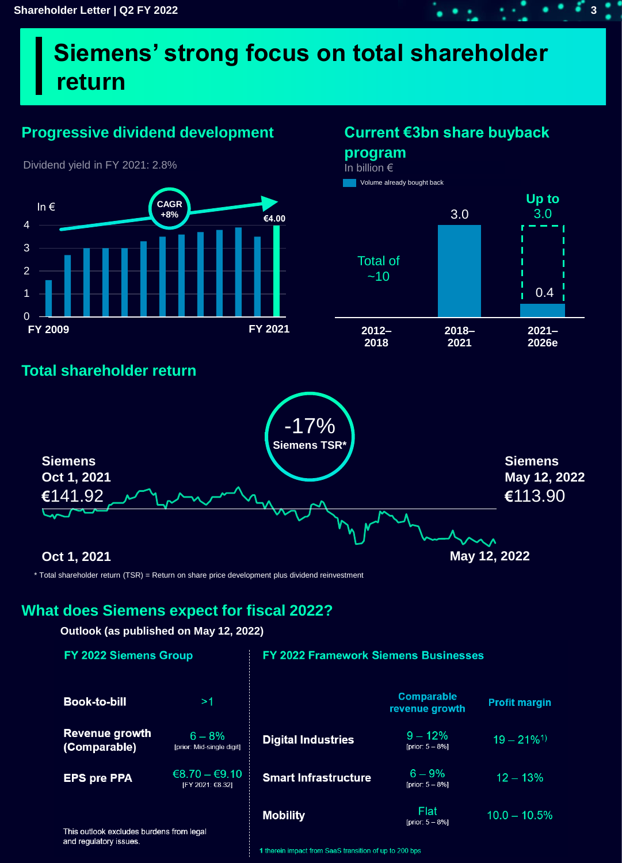# **Siemens' strong focus on total shareholder return**

## **Progressive dividend development Current €3bn share buyback**



Dividend yield in FY 2021: 2.8%

**program** In billion €

3.0 **Up to** 3.0 **2012– 2018 2018– 2021 2021– 2026e** Total of  $~10$ 0.4 Volume already bought back

## **Total shareholder return**



\* Total shareholder return (TSR) = Return on share price development plus dividend reinvestment

## **What does Siemens expect for fiscal 2022?**

### **Outlook (as published on May 12, 2022)**

| <b>FY 2022 Siemens Group</b>                                       |                                       | <b>FY 2022 Framework Siemens Businesses</b> |                                     |                           |
|--------------------------------------------------------------------|---------------------------------------|---------------------------------------------|-------------------------------------|---------------------------|
| <b>Book-to-bill</b>                                                | >1                                    |                                             | <b>Comparable</b><br>revenue growth | <b>Profit margin</b>      |
| <b>Revenue growth</b><br>(Comparable)                              | $6 - 8%$<br>[prior: Mid-single digit] | <b>Digital Industries</b>                   | $9 - 12%$<br>[prior: $5 - 8%$ ]     | $19 - 21\%$ <sup>1)</sup> |
| <b>EPS pre PPA</b>                                                 | $€8.70 - €9.10$<br>[FY 2021: €8.32]   | <b>Smart Infrastructure</b>                 | $6 - 9%$<br>[prior: $5 - 8\%$ ]     | $12 - 13%$                |
| This outlook excludes burdens from legal<br>and regulatory issues. |                                       | <b>Mobility</b>                             | <b>Flat</b><br>[prior: $5 - 8%$ ]   | $10.0 - 10.5%$            |

1 therein impact from SaaS transition of up to 200 bps